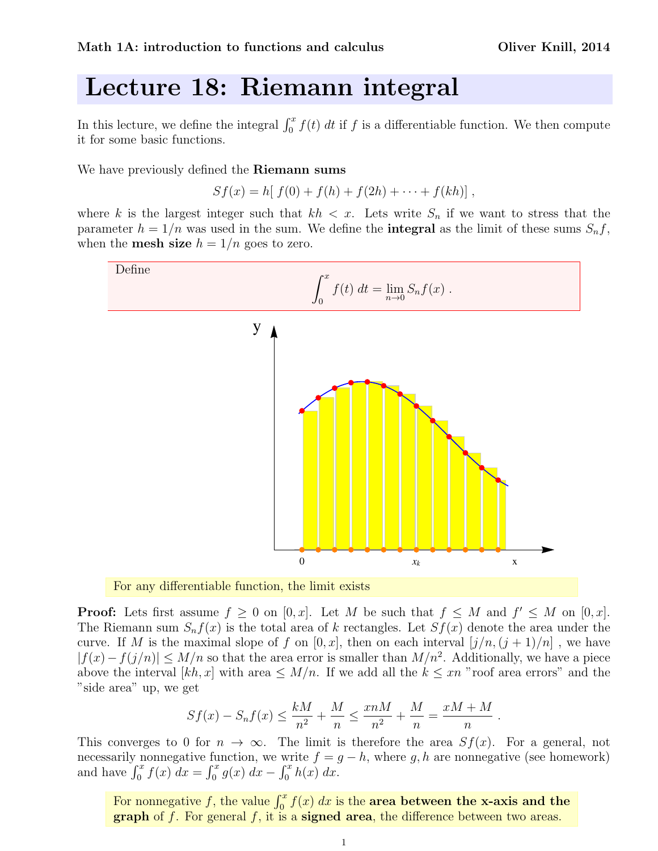## Lecture 18: Riemann integral

In this lecture, we define the integral  $\int_0^x f(t) dt$  if f is a differentiable function. We then compute it for some basic functions.

We have previously defined the **Riemann sums** 

$$
Sf(x) = h[f(0) + f(h) + f(2h) + \cdots + f(kh)],
$$

where k is the largest integer such that  $kh < x$ . Lets write  $S_n$  if we want to stress that the parameter  $h = 1/n$  was used in the sum. We define the **integral** as the limit of these sums  $S_n f$ , when the **mesh size**  $h = 1/n$  goes to zero.





**Proof:** Lets first assume  $f \geq 0$  on  $[0, x]$ . Let M be such that  $f \leq M$  and  $f' \leq M$  on  $[0, x]$ . The Riemann sum  $S_n f(x)$  is the total area of k rectangles. Let  $S_f(x)$  denote the area under the curve. If M is the maximal slope of f on  $[0, x]$ , then on each interval  $[j/n, (j + 1)/n]$ , we have  $|f(x) - f(j/n)| \le M/n$  so that the area error is smaller than  $M/n^2$ . Additionally, we have a piece above the interval  $[kh, x]$  with area  $\leq M/n$ . If we add all the  $k \leq xn$  "roof area errors" and the "side area" up, we get

$$
Sf(x) - S_n f(x) \le \frac{kM}{n^2} + \frac{M}{n} \le \frac{x n M}{n^2} + \frac{M}{n} = \frac{xM + M}{n}
$$

.

This converges to 0 for  $n \to \infty$ . The limit is therefore the area  $Sf(x)$ . For a general, not necessarily nonnegative function, we write  $f = g - h$ , where g, h are nonnegative (see homework) and have  $\int_0^x f(x) dx = \int_0^x g(x) dx - \int_0^x h(x) dx$ .

For nonnegative f, the value  $\int_0^x f(x) dx$  is the **area between the x-axis and the graph** of f. For general f, it is a **signed area**, the difference between two areas.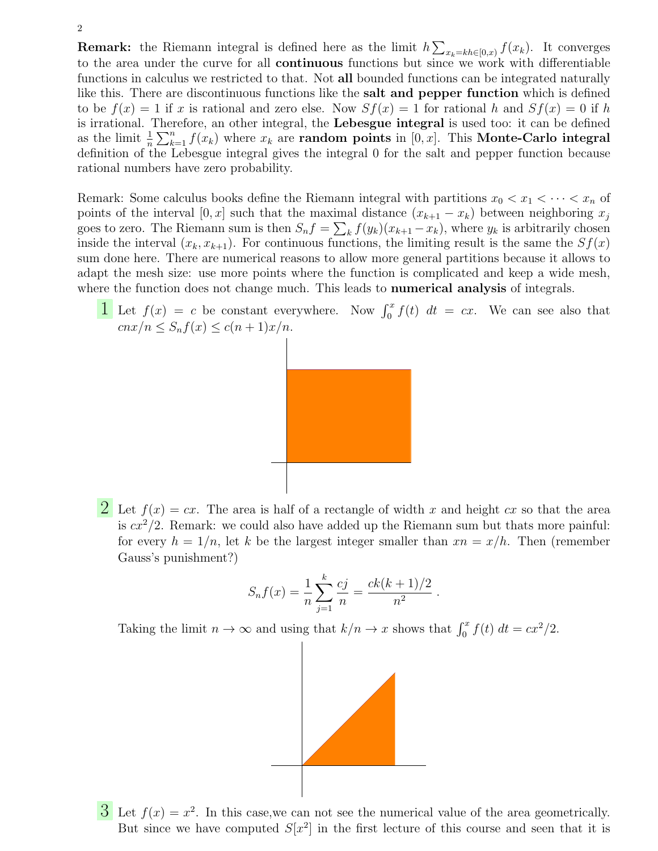**Remark:** the Riemann integral is defined here as the limit  $h \sum_{x_k=kh\in[0,x)} f(x_k)$ . It converges to the area under the curve for all continuous functions but since we work with differentiable functions in calculus we restricted to that. Not all bounded functions can be integrated naturally like this. There are discontinuous functions like the salt and pepper function which is defined to be  $f(x) = 1$  if x is rational and zero else. Now  $Sf(x) = 1$  for rational h and  $Sf(x) = 0$  if h is irrational. Therefore, an other integral, the Lebesgue integral is used too: it can be defined as the limit  $\frac{1}{n} \sum_{k=1}^{n} f(x_k)$  where  $x_k$  are **random points** in  $[0, x]$ . This **Monte-Carlo integral** definition of the Lebesgue integral gives the integral 0 for the salt and pepper function because rational numbers have zero probability.

Remark: Some calculus books define the Riemann integral with partitions  $x_0 < x_1 < \cdots < x_n$  of points of the interval  $[0, x]$  such that the maximal distance  $(x_{k+1} - x_k)$  between neighboring  $x_j$ goes to zero. The Riemann sum is then  $S_n f = \sum_k f(y_k)(x_{k+1} - x_k)$ , where  $y_k$  is arbitrarily chosen inside the interval  $(x_k, x_{k+1})$ . For continuous functions, the limiting result is the same the  $Sf(x)$ sum done here. There are numerical reasons to allow more general partitions because it allows to adapt the mesh size: use more points where the function is complicated and keep a wide mesh, where the function does not change much. This leads to **numerical analysis** of integrals.

**1** Let  $f(x) = c$  be constant everywhere. Now  $\int_0^x f(t) dt = cx$ . We can see also that  $cnx/n \leq S_nf(x) \leq c(n+1)x/n.$ 



2 Let  $f(x) = cx$ . The area is half of a rectangle of width x and height cx so that the area is  $cx^2/2$ . Remark: we could also have added up the Riemann sum but thats more painful: for every  $h = 1/n$ , let k be the largest integer smaller than  $xn = x/h$ . Then (remember Gauss's punishment?)

$$
S_n f(x) = \frac{1}{n} \sum_{j=1}^k \frac{cj}{n} = \frac{ck(k+1)/2}{n^2}.
$$

Taking the limit  $n \to \infty$  and using that  $k/n \to x$  shows that  $\int_0^x f(t) dt = cx^2/2$ .



 $3$  Let  $f(x) = x^2$ . In this case, we can not see the numerical value of the area geometrically. But since we have computed  $S[x^2]$  in the first lecture of this course and seen that it is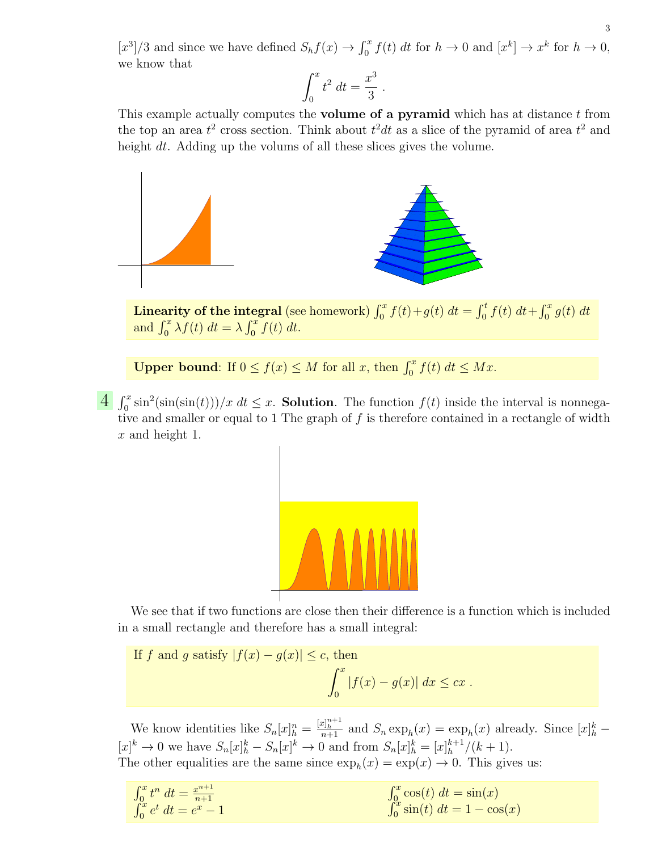$[x^3]/3$  and since we have defined  $S_h f(x) \to \int_0^x f(t) dt$  for  $h \to 0$  and  $[x^k] \to x^k$  for  $h \to 0$ , we know that

$$
\int_0^x t^2 dt = \frac{x^3}{3} .
$$

This example actually computes the **volume of a pyramid** which has at distance  $t$  from the top an area  $t^2$  cross section. Think about  $t^2dt$  as a slice of the pyramid of area  $t^2$  and height dt. Adding up the volums of all these slices gives the volume.



Linearity of the integral (see homework)  $\int_0^x f(t) + g(t) dt = \int_0^t f(t) dt + \int_0^x g(t) dt$ and  $\int_0^x \lambda f(t) dt = \lambda \int_0^x f(t) dt$ .

**Upper bound:** If  $0 \le f(x) \le M$  for all x, then  $\int_0^x f(t) dt \le Mx$ .

 $\frac{4}{\pi} \int_0^x \sin^2(\sin(\sin(t)))/x \, dt \leq x$ . **Solution**. The function  $f(t)$  inside the interval is nonnegative and smaller or equal to 1 The graph of  $f$  is therefore contained in a rectangle of width x and height 1.



We see that if two functions are close then their difference is a function which is included in a small rectangle and therefore has a small integral:

If 
$$
f
$$
 and  $g$  satisfy  $|f(x) - g(x)| \le c$ , then  

$$
\int_0^x |f(x) - g(x)| dx \le cx.
$$

We know identities like  $S_n[x]_h^n = \frac{[x]_h^{n+1}}{n+1}$  and  $S_n \exp_h(x) = \exp_h(x)$  already. Since  $[x]_h^k$  $[x]^k \to 0$  we have  $S_n[x]^k_h - S_n[x]^k \to 0$  and from  $S_n[x]^k_h = [x]^k_h + 1$  $\binom{k+1}{h}$  ( $k+1$ ). The other equalities are the same since  $\exp_h(x) = \exp(x) \to 0$ . This gives us:

| $\int_0^x t^n dt = \frac{x^{n+1}}{n+1}$ | $\int_0^x \cos(t) dt = \sin(x)$       |
|-----------------------------------------|---------------------------------------|
| $\int_0^x e^t dt = e^x - 1$             | $\int_0^x \sin(t) \ dt = 1 - \cos(x)$ |